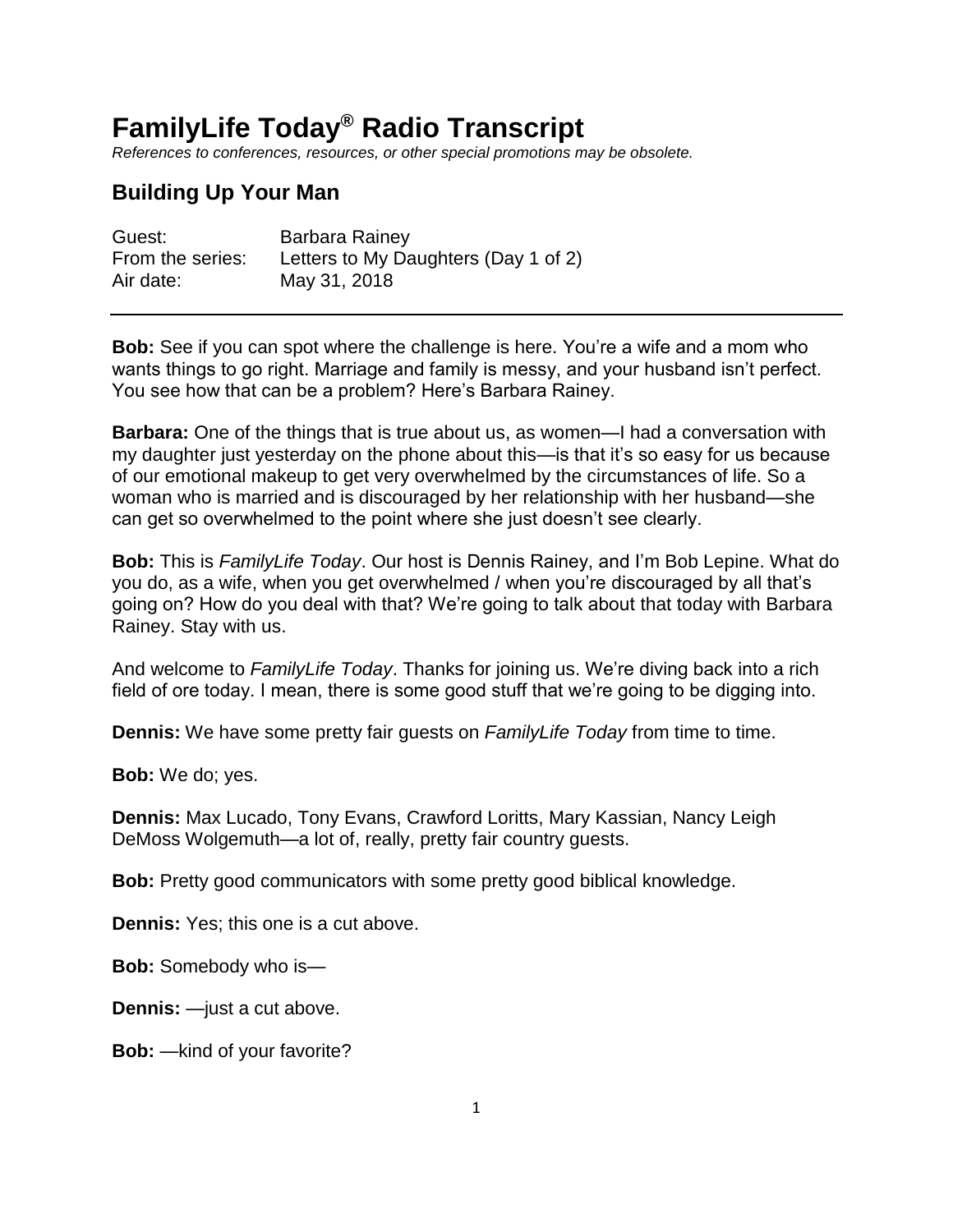# **FamilyLife Today® Radio Transcript**

*References to conferences, resources, or other special promotions may be obsolete.*

## **Building Up Your Man**

| Guest:           | Barbara Rainey                       |
|------------------|--------------------------------------|
| From the series: | Letters to My Daughters (Day 1 of 2) |
| Air date:        | May 31, 2018                         |

**Bob:** See if you can spot where the challenge is here. You're a wife and a mom who wants things to go right. Marriage and family is messy, and your husband isn't perfect. You see how that can be a problem? Here's Barbara Rainey.

**Barbara:** One of the things that is true about us, as women—I had a conversation with my daughter just yesterday on the phone about this—is that it's so easy for us because of our emotional makeup to get very overwhelmed by the circumstances of life. So a woman who is married and is discouraged by her relationship with her husband—she can get so overwhelmed to the point where she just doesn't see clearly.

**Bob:** This is *FamilyLife Today*. Our host is Dennis Rainey, and I'm Bob Lepine. What do you do, as a wife, when you get overwhelmed / when you're discouraged by all that's going on? How do you deal with that? We're going to talk about that today with Barbara Rainey. Stay with us.

And welcome to *FamilyLife Today*. Thanks for joining us. We're diving back into a rich field of ore today. I mean, there is some good stuff that we're going to be digging into.

**Dennis:** We have some pretty fair guests on *FamilyLife Today* from time to time.

**Bob:** We do; yes.

**Dennis:** Max Lucado, Tony Evans, Crawford Loritts, Mary Kassian, Nancy Leigh DeMoss Wolgemuth—a lot of, really, pretty fair country guests.

**Bob:** Pretty good communicators with some pretty good biblical knowledge.

**Dennis:** Yes; this one is a cut above.

**Bob:** Somebody who is—

**Dennis:** —just a cut above.

**Bob:** —kind of your favorite?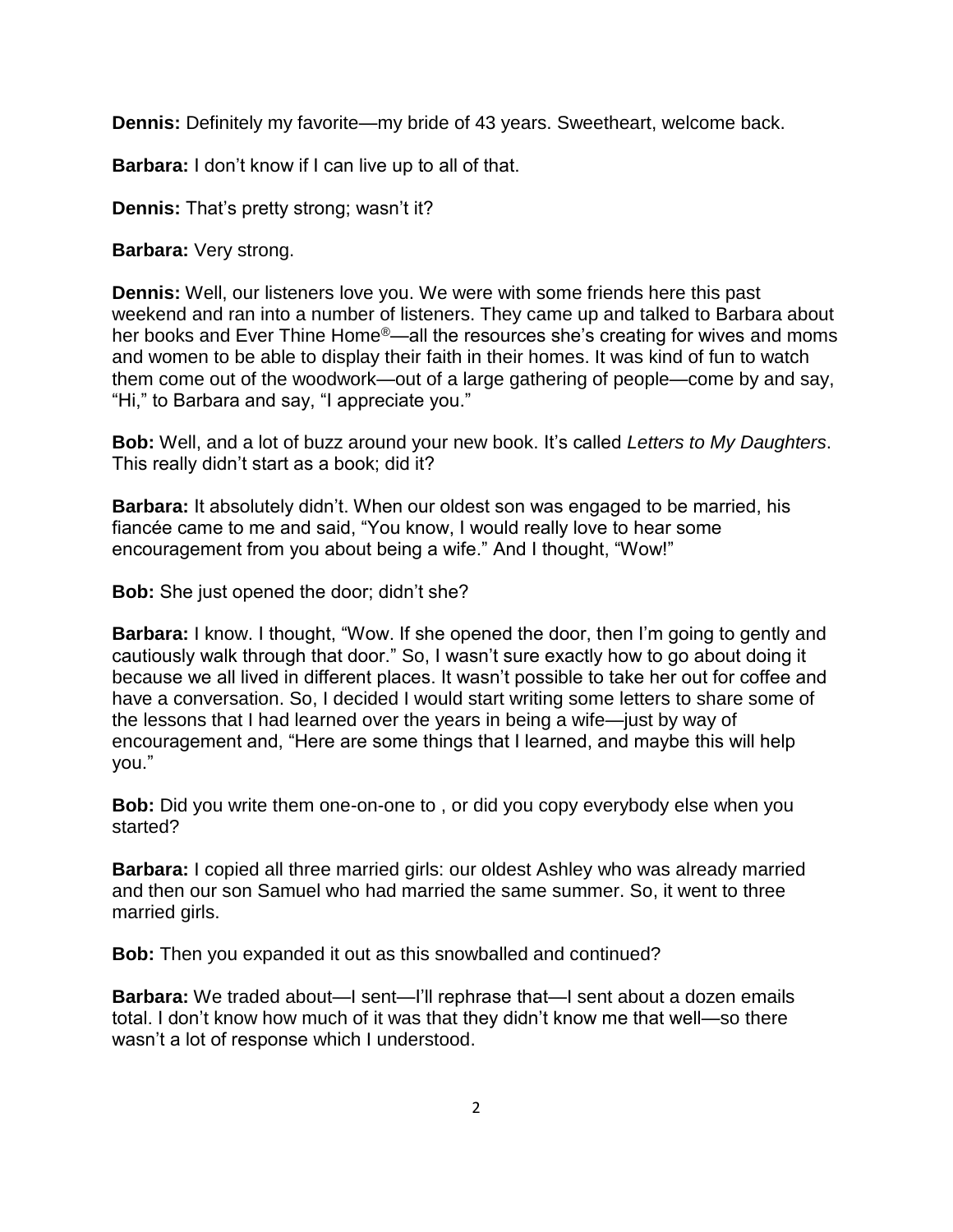**Dennis:** Definitely my favorite—my bride of 43 years. Sweetheart, welcome back.

**Barbara:** I don't know if I can live up to all of that.

**Dennis:** That's pretty strong; wasn't it?

**Barbara:** Very strong.

**Dennis:** Well, our listeners love you. We were with some friends here this past weekend and ran into a number of listeners. They came up and talked to Barbara about her books and Ever Thine Home®—all the resources she's creating for wives and moms and women to be able to display their faith in their homes. It was kind of fun to watch them come out of the woodwork—out of a large gathering of people—come by and say, "Hi," to Barbara and say, "I appreciate you."

**Bob:** Well, and a lot of buzz around your new book. It's called *Letters to My Daughters*. This really didn't start as a book; did it?

**Barbara:** It absolutely didn't. When our oldest son was engaged to be married, his fiancée came to me and said, "You know, I would really love to hear some encouragement from you about being a wife." And I thought, "Wow!"

**Bob:** She just opened the door; didn't she?

**Barbara:** I know. I thought, "Wow. If she opened the door, then I'm going to gently and cautiously walk through that door." So, I wasn't sure exactly how to go about doing it because we all lived in different places. It wasn't possible to take her out for coffee and have a conversation. So, I decided I would start writing some letters to share some of the lessons that I had learned over the years in being a wife—just by way of encouragement and, "Here are some things that I learned, and maybe this will help you."

**Bob:** Did you write them one-on-one to , or did you copy everybody else when you started?

**Barbara:** I copied all three married girls: our oldest Ashley who was already married and then our son Samuel who had married the same summer. So, it went to three married girls.

**Bob:** Then you expanded it out as this snowballed and continued?

**Barbara:** We traded about—I sent—I'll rephrase that—I sent about a dozen emails total. I don't know how much of it was that they didn't know me that well—so there wasn't a lot of response which I understood.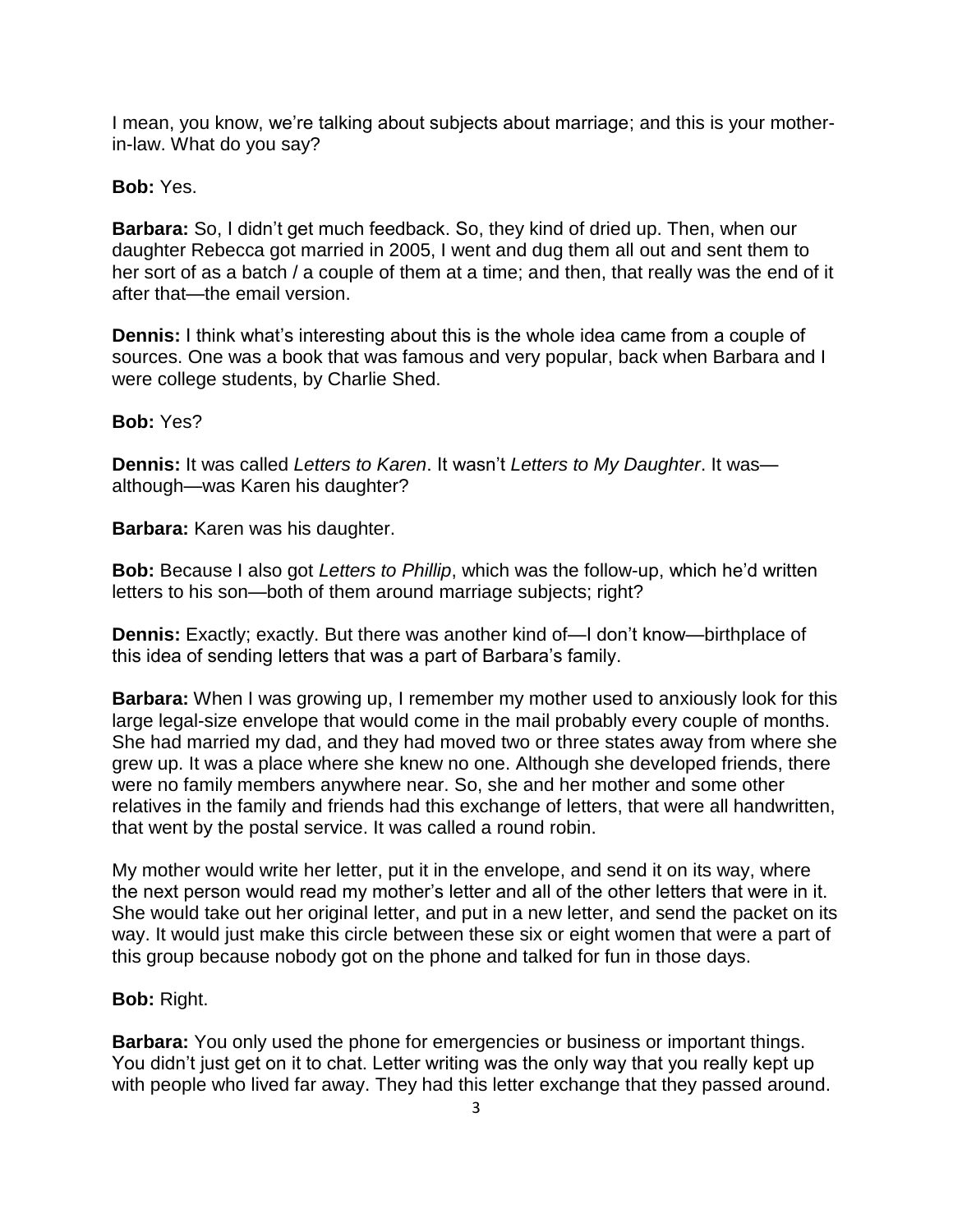I mean, you know, we're talking about subjects about marriage; and this is your motherin-law. What do you say?

**Bob:** Yes.

**Barbara:** So, I didn't get much feedback. So, they kind of dried up. Then, when our daughter Rebecca got married in 2005, I went and dug them all out and sent them to her sort of as a batch / a couple of them at a time; and then, that really was the end of it after that—the email version.

**Dennis:** I think what's interesting about this is the whole idea came from a couple of sources. One was a book that was famous and very popular, back when Barbara and I were college students, by Charlie Shed.

**Bob:** Yes?

**Dennis:** It was called *Letters to Karen*. It wasn't *Letters to My Daughter*. It was although—was Karen his daughter?

**Barbara:** Karen was his daughter.

**Bob:** Because I also got *Letters to Phillip*, which was the follow-up, which he'd written letters to his son—both of them around marriage subjects; right?

**Dennis:** Exactly; exactly. But there was another kind of—I don't know—birthplace of this idea of sending letters that was a part of Barbara's family.

**Barbara:** When I was growing up, I remember my mother used to anxiously look for this large legal-size envelope that would come in the mail probably every couple of months. She had married my dad, and they had moved two or three states away from where she grew up. It was a place where she knew no one. Although she developed friends, there were no family members anywhere near. So, she and her mother and some other relatives in the family and friends had this exchange of letters, that were all handwritten, that went by the postal service. It was called a round robin.

My mother would write her letter, put it in the envelope, and send it on its way, where the next person would read my mother's letter and all of the other letters that were in it. She would take out her original letter, and put in a new letter, and send the packet on its way. It would just make this circle between these six or eight women that were a part of this group because nobody got on the phone and talked for fun in those days.

### **Bob:** Right.

**Barbara:** You only used the phone for emergencies or business or important things. You didn't just get on it to chat. Letter writing was the only way that you really kept up with people who lived far away. They had this letter exchange that they passed around.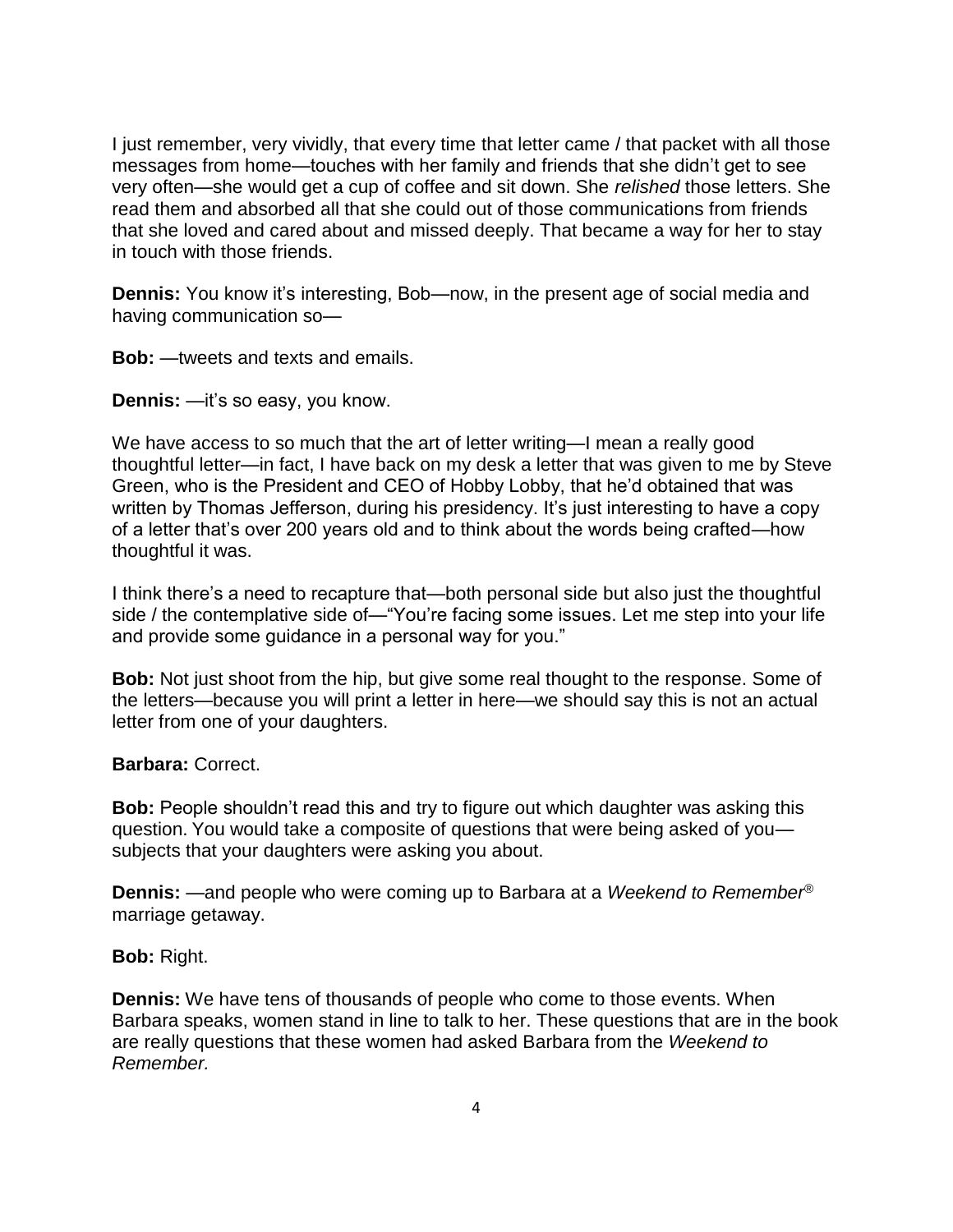I just remember, very vividly, that every time that letter came / that packet with all those messages from home—touches with her family and friends that she didn't get to see very often—she would get a cup of coffee and sit down. She *relished* those letters. She read them and absorbed all that she could out of those communications from friends that she loved and cared about and missed deeply. That became a way for her to stay in touch with those friends.

**Dennis:** You know it's interesting, Bob—now, in the present age of social media and having communication so—

**Bob:** —tweets and texts and emails.

**Dennis:** —it's so easy, you know.

We have access to so much that the art of letter writing—I mean a really good thoughtful letter—in fact, I have back on my desk a letter that was given to me by Steve Green, who is the President and CEO of Hobby Lobby, that he'd obtained that was written by Thomas Jefferson, during his presidency. It's just interesting to have a copy of a letter that's over 200 years old and to think about the words being crafted—how thoughtful it was.

I think there's a need to recapture that—both personal side but also just the thoughtful side / the contemplative side of—"You're facing some issues. Let me step into your life and provide some guidance in a personal way for you."

**Bob:** Not just shoot from the hip, but give some real thought to the response. Some of the letters—because you will print a letter in here—we should say this is not an actual letter from one of your daughters.

**Barbara:** Correct.

**Bob:** People shouldn't read this and try to figure out which daughter was asking this question. You would take a composite of questions that were being asked of you subjects that your daughters were asking you about.

**Dennis:** —and people who were coming up to Barbara at a *Weekend to Remember*® marriage getaway.

#### **Bob:** Right.

**Dennis:** We have tens of thousands of people who come to those events. When Barbara speaks, women stand in line to talk to her. These questions that are in the book are really questions that these women had asked Barbara from the *Weekend to Remember.*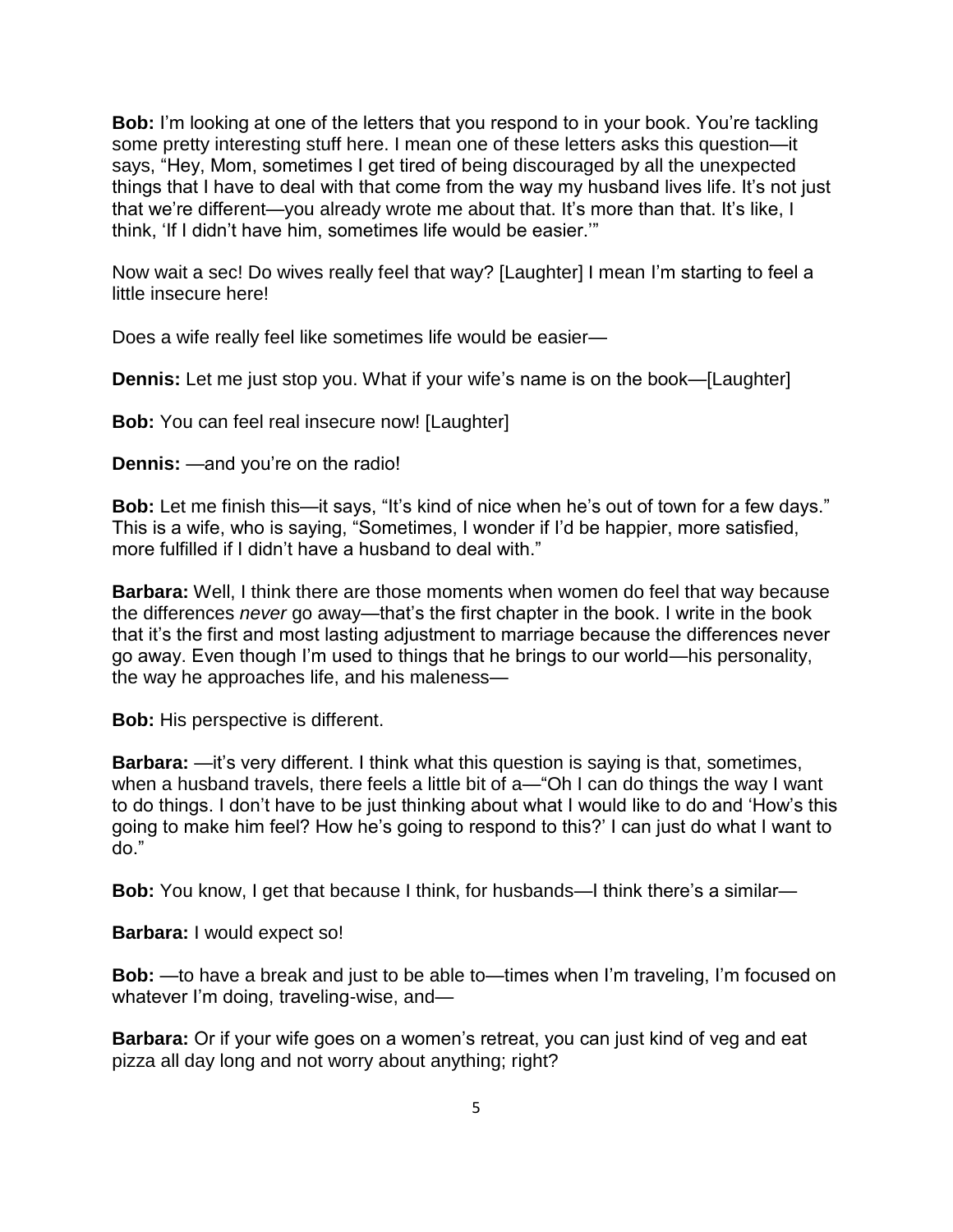**Bob:** I'm looking at one of the letters that you respond to in your book. You're tackling some pretty interesting stuff here. I mean one of these letters asks this question—it says, "Hey, Mom, sometimes I get tired of being discouraged by all the unexpected things that I have to deal with that come from the way my husband lives life. It's not just that we're different—you already wrote me about that. It's more than that. It's like, I think, 'If I didn't have him, sometimes life would be easier.'"

Now wait a sec! Do wives really feel that way? [Laughter] I mean I'm starting to feel a little insecure here!

Does a wife really feel like sometimes life would be easier—

**Dennis:** Let me just stop you. What if your wife's name is on the book—[Laughter]

**Bob:** You can feel real insecure now! [Laughter]

**Dennis:** —and you're on the radio!

**Bob:** Let me finish this—it says, "It's kind of nice when he's out of town for a few days." This is a wife, who is saying, "Sometimes, I wonder if I'd be happier, more satisfied, more fulfilled if I didn't have a husband to deal with."

**Barbara:** Well, I think there are those moments when women do feel that way because the differences *never* go away—that's the first chapter in the book. I write in the book that it's the first and most lasting adjustment to marriage because the differences never go away. Even though I'm used to things that he brings to our world—his personality, the way he approaches life, and his maleness—

**Bob:** His perspective is different.

**Barbara:** —it's very different. I think what this question is saying is that, sometimes, when a husband travels, there feels a little bit of a—"Oh I can do things the way I want to do things. I don't have to be just thinking about what I would like to do and 'How's this going to make him feel? How he's going to respond to this?' I can just do what I want to do."

**Bob:** You know, I get that because I think, for husbands—I think there's a similar—

**Barbara:** I would expect so!

**Bob:** —to have a break and just to be able to—times when I'm traveling, I'm focused on whatever I'm doing, traveling-wise, and—

**Barbara:** Or if your wife goes on a women's retreat, you can just kind of veg and eat pizza all day long and not worry about anything; right?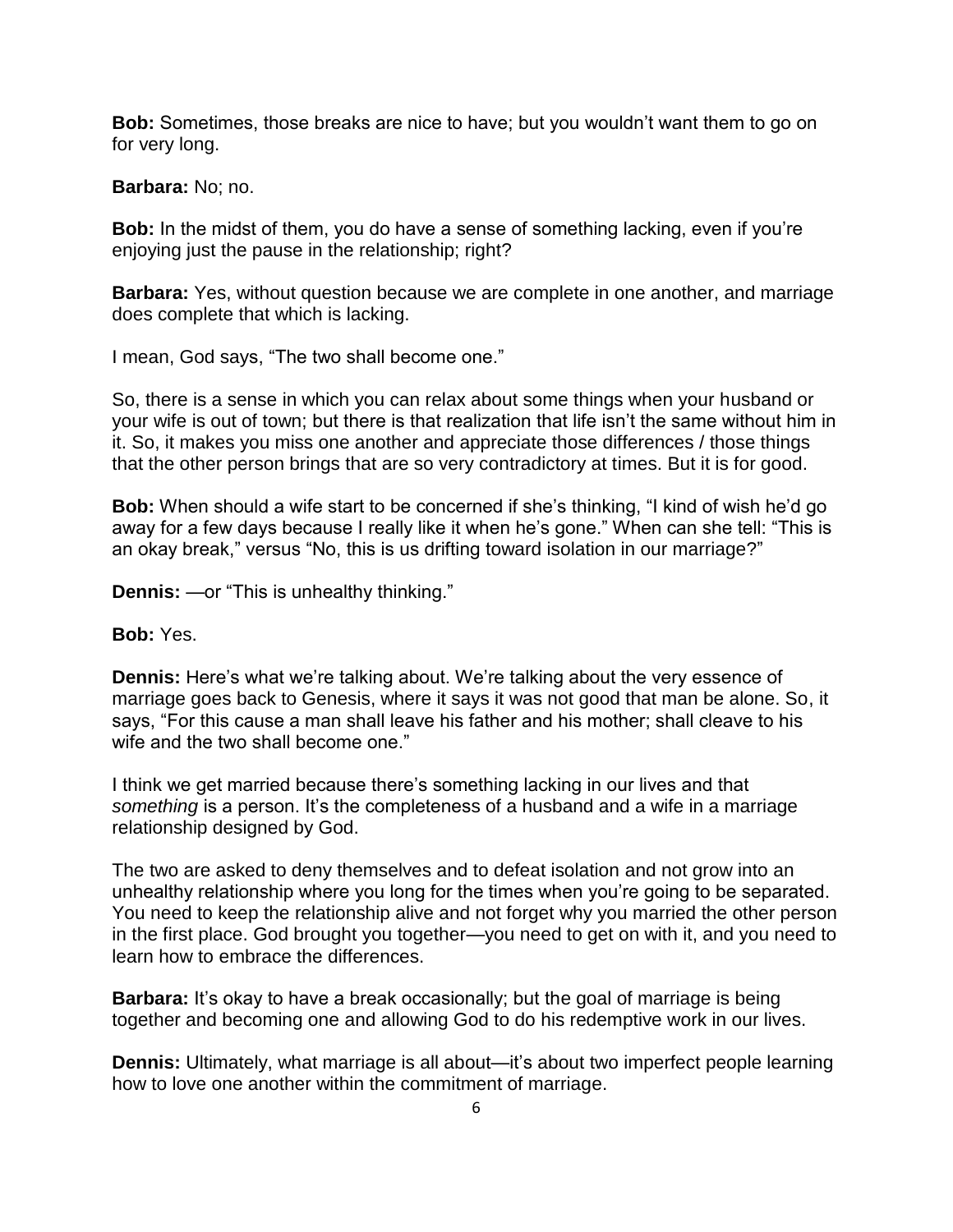**Bob:** Sometimes, those breaks are nice to have; but you wouldn't want them to go on for very long.

**Barbara:** No; no.

**Bob:** In the midst of them, you do have a sense of something lacking, even if you're enjoying just the pause in the relationship; right?

**Barbara:** Yes, without question because we are complete in one another, and marriage does complete that which is lacking.

I mean, God says, "The two shall become one."

So, there is a sense in which you can relax about some things when your husband or your wife is out of town; but there is that realization that life isn't the same without him in it. So, it makes you miss one another and appreciate those differences / those things that the other person brings that are so very contradictory at times. But it is for good.

**Bob:** When should a wife start to be concerned if she's thinking, "I kind of wish he'd go away for a few days because I really like it when he's gone." When can she tell: "This is an okay break," versus "No, this is us drifting toward isolation in our marriage?"

**Dennis:** —or "This is unhealthy thinking."

#### **Bob:** Yes.

**Dennis:** Here's what we're talking about. We're talking about the very essence of marriage goes back to Genesis, where it says it was not good that man be alone. So, it says, "For this cause a man shall leave his father and his mother; shall cleave to his wife and the two shall become one."

I think we get married because there's something lacking in our lives and that *something* is a person. It's the completeness of a husband and a wife in a marriage relationship designed by God.

The two are asked to deny themselves and to defeat isolation and not grow into an unhealthy relationship where you long for the times when you're going to be separated. You need to keep the relationship alive and not forget why you married the other person in the first place. God brought you together—you need to get on with it, and you need to learn how to embrace the differences.

**Barbara:** It's okay to have a break occasionally; but the goal of marriage is being together and becoming one and allowing God to do his redemptive work in our lives.

**Dennis:** Ultimately, what marriage is all about—it's about two imperfect people learning how to love one another within the commitment of marriage.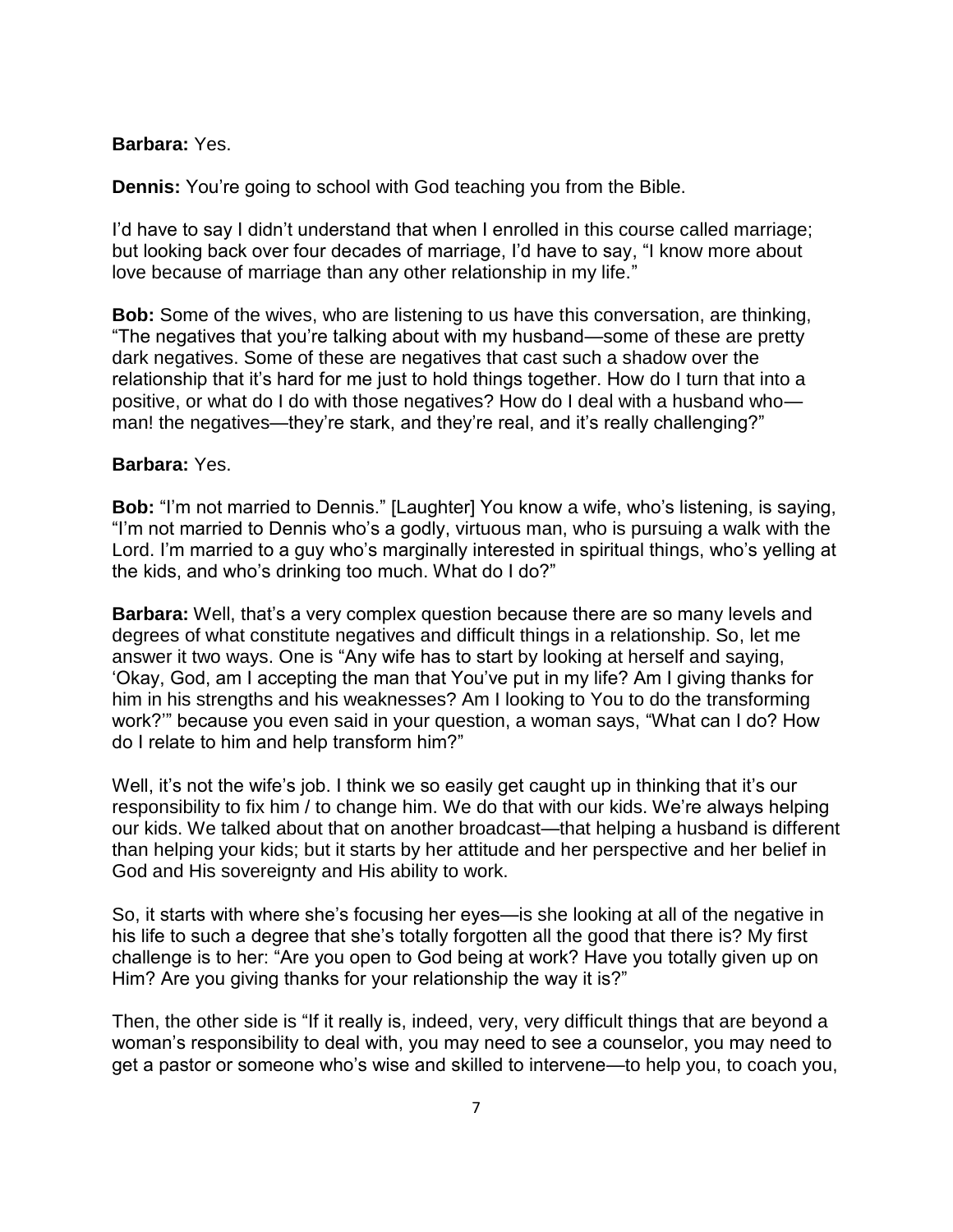#### **Barbara:** Yes.

**Dennis:** You're going to school with God teaching you from the Bible.

I'd have to say I didn't understand that when I enrolled in this course called marriage; but looking back over four decades of marriage, I'd have to say, "I know more about love because of marriage than any other relationship in my life."

**Bob:** Some of the wives, who are listening to us have this conversation, are thinking, "The negatives that you're talking about with my husband—some of these are pretty dark negatives. Some of these are negatives that cast such a shadow over the relationship that it's hard for me just to hold things together. How do I turn that into a positive, or what do I do with those negatives? How do I deal with a husband who man! the negatives—they're stark, and they're real, and it's really challenging?"

#### **Barbara:** Yes.

**Bob:** "I'm not married to Dennis." [Laughter] You know a wife, who's listening, is saying, "I'm not married to Dennis who's a godly, virtuous man, who is pursuing a walk with the Lord. I'm married to a guy who's marginally interested in spiritual things, who's yelling at the kids, and who's drinking too much. What do I do?"

**Barbara:** Well, that's a very complex question because there are so many levels and degrees of what constitute negatives and difficult things in a relationship. So, let me answer it two ways. One is "Any wife has to start by looking at herself and saying, 'Okay, God, am I accepting the man that You've put in my life? Am I giving thanks for him in his strengths and his weaknesses? Am I looking to You to do the transforming work?'" because you even said in your question, a woman says, "What can I do? How do I relate to him and help transform him?"

Well, it's not the wife's job. I think we so easily get caught up in thinking that it's our responsibility to fix him / to change him. We do that with our kids. We're always helping our kids. We talked about that on another broadcast—that helping a husband is different than helping your kids; but it starts by her attitude and her perspective and her belief in God and His sovereignty and His ability to work.

So, it starts with where she's focusing her eyes—is she looking at all of the negative in his life to such a degree that she's totally forgotten all the good that there is? My first challenge is to her: "Are you open to God being at work? Have you totally given up on Him? Are you giving thanks for your relationship the way it is?"

Then, the other side is "If it really is, indeed, very, very difficult things that are beyond a woman's responsibility to deal with, you may need to see a counselor, you may need to get a pastor or someone who's wise and skilled to intervene—to help you, to coach you,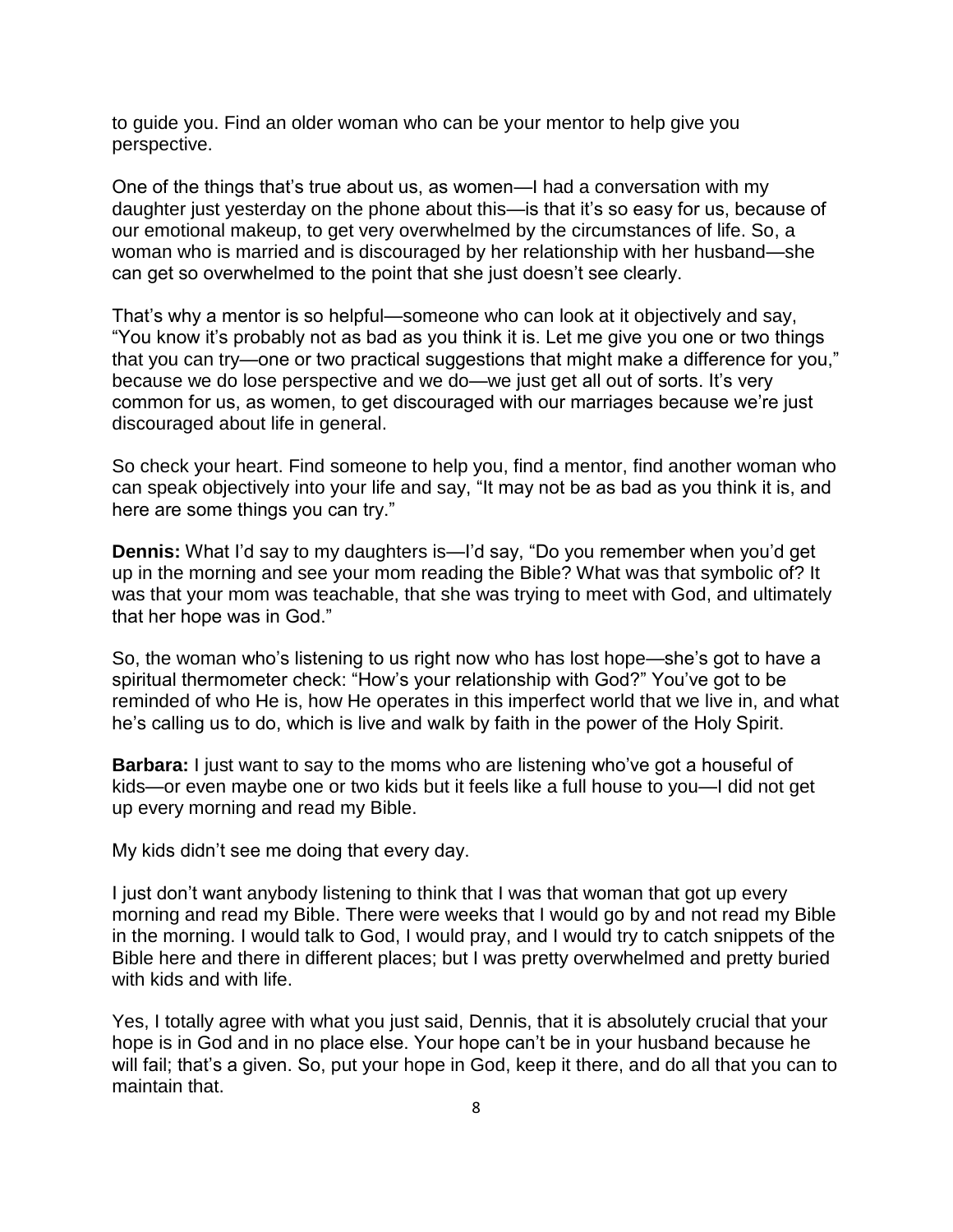to guide you. Find an older woman who can be your mentor to help give you perspective.

One of the things that's true about us, as women—I had a conversation with my daughter just yesterday on the phone about this—is that it's so easy for us, because of our emotional makeup, to get very overwhelmed by the circumstances of life. So, a woman who is married and is discouraged by her relationship with her husband—she can get so overwhelmed to the point that she just doesn't see clearly.

That's why a mentor is so helpful—someone who can look at it objectively and say, "You know it's probably not as bad as you think it is. Let me give you one or two things that you can try—one or two practical suggestions that might make a difference for you," because we do lose perspective and we do—we just get all out of sorts. It's very common for us, as women, to get discouraged with our marriages because we're just discouraged about life in general.

So check your heart. Find someone to help you, find a mentor, find another woman who can speak objectively into your life and say, "It may not be as bad as you think it is, and here are some things you can try."

**Dennis:** What I'd say to my daughters is—I'd say, "Do you remember when you'd get up in the morning and see your mom reading the Bible? What was that symbolic of? It was that your mom was teachable, that she was trying to meet with God, and ultimately that her hope was in God."

So, the woman who's listening to us right now who has lost hope—she's got to have a spiritual thermometer check: "How's your relationship with God?" You've got to be reminded of who He is, how He operates in this imperfect world that we live in, and what he's calling us to do, which is live and walk by faith in the power of the Holy Spirit.

**Barbara:** I just want to say to the moms who are listening who've got a houseful of kids—or even maybe one or two kids but it feels like a full house to you—I did not get up every morning and read my Bible.

My kids didn't see me doing that every day.

I just don't want anybody listening to think that I was that woman that got up every morning and read my Bible. There were weeks that I would go by and not read my Bible in the morning. I would talk to God, I would pray, and I would try to catch snippets of the Bible here and there in different places; but I was pretty overwhelmed and pretty buried with kids and with life.

Yes, I totally agree with what you just said, Dennis, that it is absolutely crucial that your hope is in God and in no place else. Your hope can't be in your husband because he will fail; that's a given. So, put your hope in God, keep it there, and do all that you can to maintain that.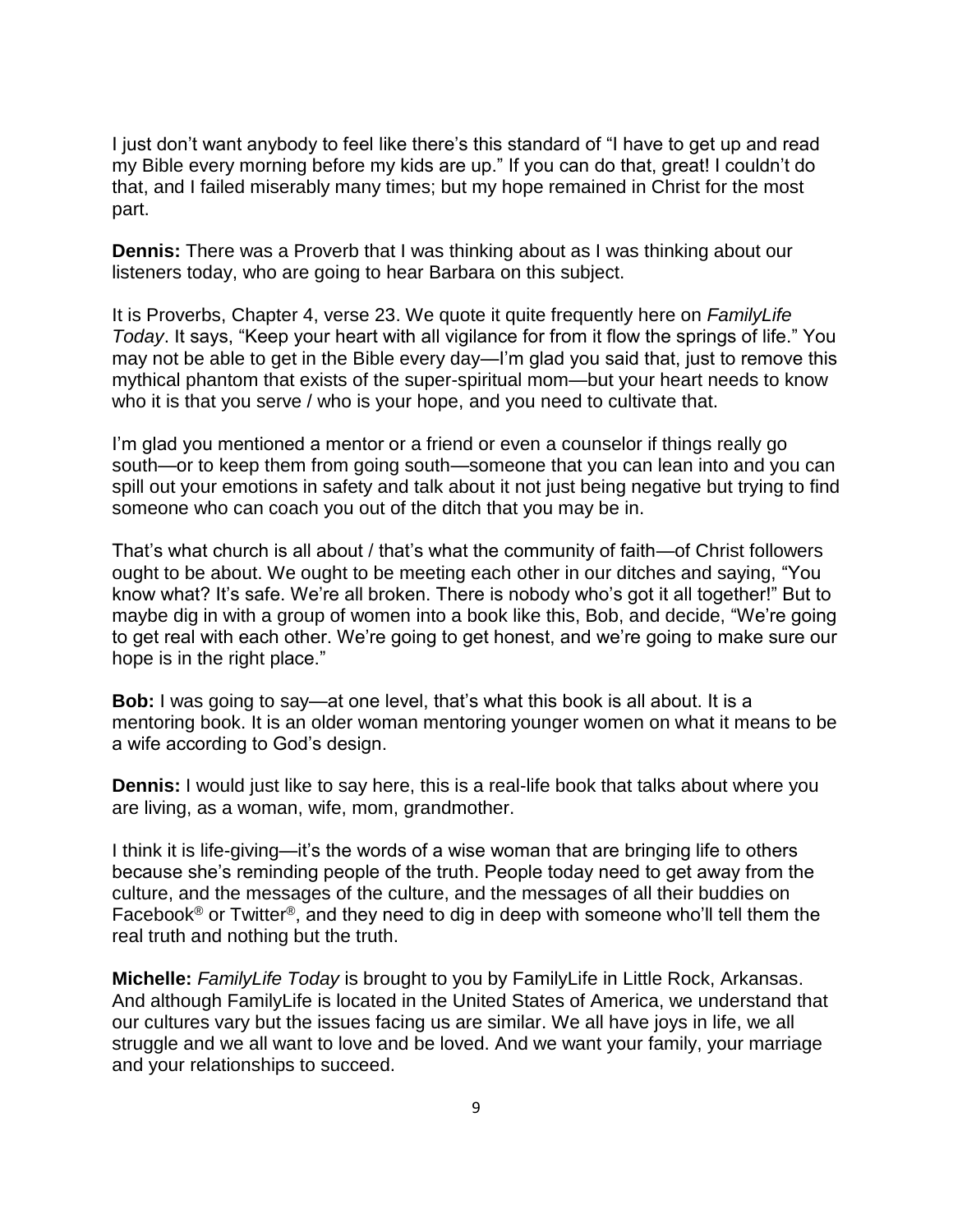I just don't want anybody to feel like there's this standard of "I have to get up and read my Bible every morning before my kids are up." If you can do that, great! I couldn't do that, and I failed miserably many times; but my hope remained in Christ for the most part.

**Dennis:** There was a Proverb that I was thinking about as I was thinking about our listeners today, who are going to hear Barbara on this subject.

It is Proverbs, Chapter 4, verse 23. We quote it quite frequently here on *FamilyLife Today*. It says, "Keep your heart with all vigilance for from it flow the springs of life." You may not be able to get in the Bible every day—I'm glad you said that, just to remove this mythical phantom that exists of the super-spiritual mom—but your heart needs to know who it is that you serve / who is your hope, and you need to cultivate that.

I'm glad you mentioned a mentor or a friend or even a counselor if things really go south—or to keep them from going south—someone that you can lean into and you can spill out your emotions in safety and talk about it not just being negative but trying to find someone who can coach you out of the ditch that you may be in.

That's what church is all about / that's what the community of faith—of Christ followers ought to be about. We ought to be meeting each other in our ditches and saying, "You know what? It's safe. We're all broken. There is nobody who's got it all together!" But to maybe dig in with a group of women into a book like this, Bob, and decide, "We're going to get real with each other. We're going to get honest, and we're going to make sure our hope is in the right place."

**Bob:** I was going to say—at one level, that's what this book is all about. It is a mentoring book. It is an older woman mentoring younger women on what it means to be a wife according to God's design.

**Dennis:** I would just like to say here, this is a real-life book that talks about where you are living, as a woman, wife, mom, grandmother.

I think it is life-giving—it's the words of a wise woman that are bringing life to others because she's reminding people of the truth. People today need to get away from the culture, and the messages of the culture, and the messages of all their buddies on Facebook<sup>®</sup> or Twitter<sup>®</sup>, and they need to dig in deep with someone who'll tell them the real truth and nothing but the truth.

**Michelle:** *FamilyLife Today* is brought to you by FamilyLife in Little Rock, Arkansas. And although FamilyLife is located in the United States of America, we understand that our cultures vary but the issues facing us are similar. We all have joys in life, we all struggle and we all want to love and be loved. And we want your family, your marriage and your relationships to succeed.